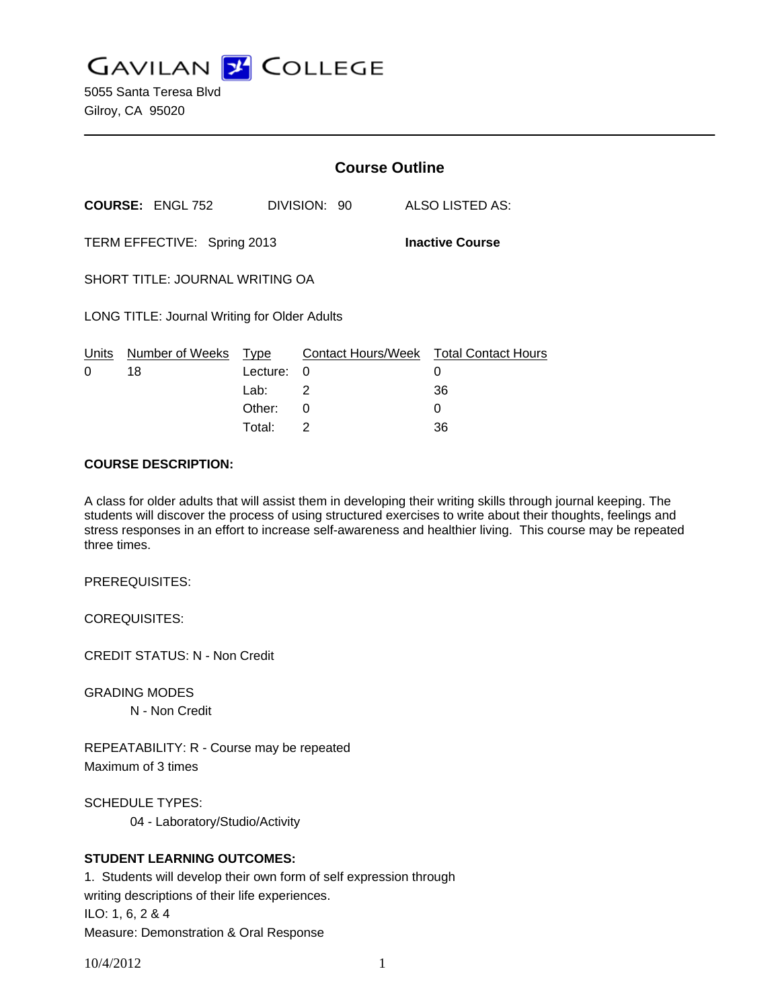**GAVILAN Z COLLEGE** 

5055 Santa Teresa Blvd Gilroy, CA 95020

|                                                       |                         | <b>Course Outline</b> |              |  |                                        |
|-------------------------------------------------------|-------------------------|-----------------------|--------------|--|----------------------------------------|
|                                                       | <b>COURSE: ENGL 752</b> |                       | DIVISION: 90 |  | ALSO LISTED AS:                        |
| TERM EFFECTIVE: Spring 2013<br><b>Inactive Course</b> |                         |                       |              |  |                                        |
| SHORT TITLE: JOURNAL WRITING OA                       |                         |                       |              |  |                                        |
| LONG TITLE: Journal Writing for Older Adults          |                         |                       |              |  |                                        |
| Units                                                 | Number of Weeks         | Type                  |              |  | Contact Hours/Week Total Contact Hours |
| 0                                                     | 18                      | Lecture:              | 0            |  | 0                                      |
|                                                       |                         | Lab: __               | 2            |  | 36                                     |
|                                                       |                         | Other:                | 0            |  | 0                                      |

#### **COURSE DESCRIPTION:**

A class for older adults that will assist them in developing their writing skills through journal keeping. The students will discover the process of using structured exercises to write about their thoughts, feelings and stress responses in an effort to increase self-awareness and healthier living. This course may be repeated three times.

Total: 2 36

PREREQUISITES:

COREQUISITES:

CREDIT STATUS: N - Non Credit

GRADING MODES

N - Non Credit

REPEATABILITY: R - Course may be repeated Maximum of 3 times

SCHEDULE TYPES:

04 - Laboratory/Studio/Activity

## **STUDENT LEARNING OUTCOMES:**

1. Students will develop their own form of self expression through writing descriptions of their life experiences. ILO: 1, 6, 2 & 4 Measure: Demonstration & Oral Response

10/4/2012 1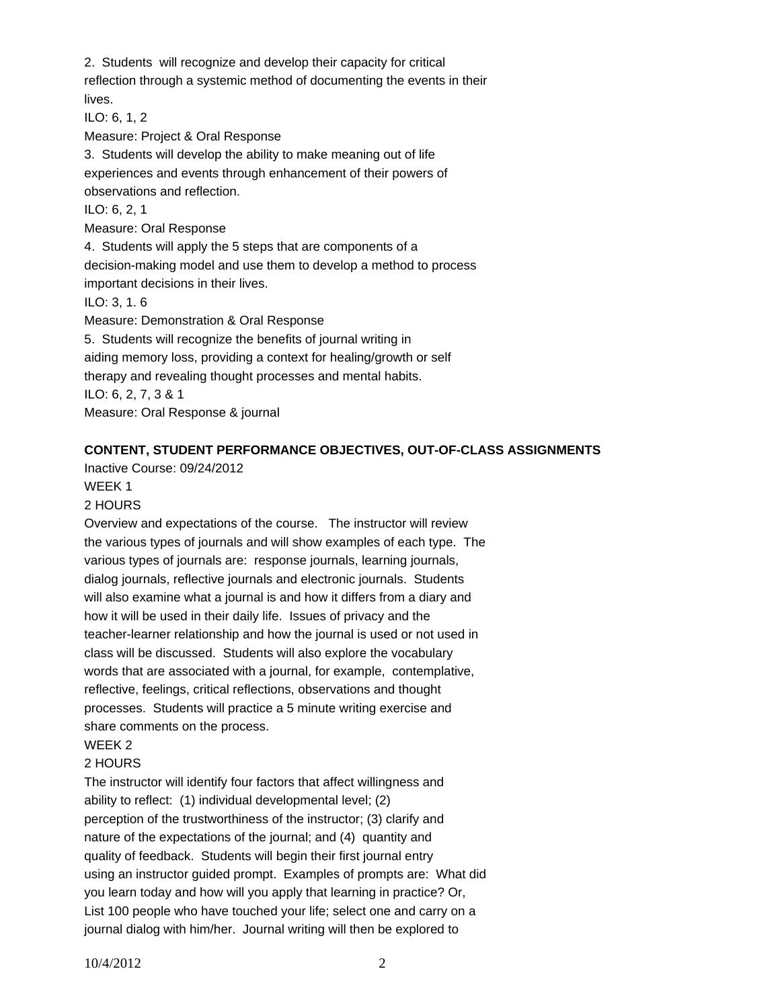2. Students will recognize and develop their capacity for critical reflection through a systemic method of documenting the events in their lives.

ILO: 6, 1, 2

Measure: Project & Oral Response

3. Students will develop the ability to make meaning out of life experiences and events through enhancement of their powers of observations and reflection.

ILO: 6, 2, 1

Measure: Oral Response

4. Students will apply the 5 steps that are components of a decision-making model and use them to develop a method to process important decisions in their lives.

ILO: 3, 1. 6

Measure: Demonstration & Oral Response 5. Students will recognize the benefits of journal writing in aiding memory loss, providing a context for healing/growth or self therapy and revealing thought processes and mental habits. ILO: 6, 2, 7, 3 & 1 Measure: Oral Response & journal

## **CONTENT, STUDENT PERFORMANCE OBJECTIVES, OUT-OF-CLASS ASSIGNMENTS**

Inactive Course: 09/24/2012

## WEEK 1

## 2 HOURS

Overview and expectations of the course. The instructor will review the various types of journals and will show examples of each type. The various types of journals are: response journals, learning journals, dialog journals, reflective journals and electronic journals. Students will also examine what a journal is and how it differs from a diary and how it will be used in their daily life. Issues of privacy and the teacher-learner relationship and how the journal is used or not used in class will be discussed. Students will also explore the vocabulary words that are associated with a journal, for example, contemplative, reflective, feelings, critical reflections, observations and thought processes. Students will practice a 5 minute writing exercise and share comments on the process.

## WEEK 2

## 2 HOURS

The instructor will identify four factors that affect willingness and ability to reflect: (1) individual developmental level; (2) perception of the trustworthiness of the instructor; (3) clarify and nature of the expectations of the journal; and (4) quantity and quality of feedback. Students will begin their first journal entry using an instructor guided prompt. Examples of prompts are: What did you learn today and how will you apply that learning in practice? Or, List 100 people who have touched your life; select one and carry on a journal dialog with him/her. Journal writing will then be explored to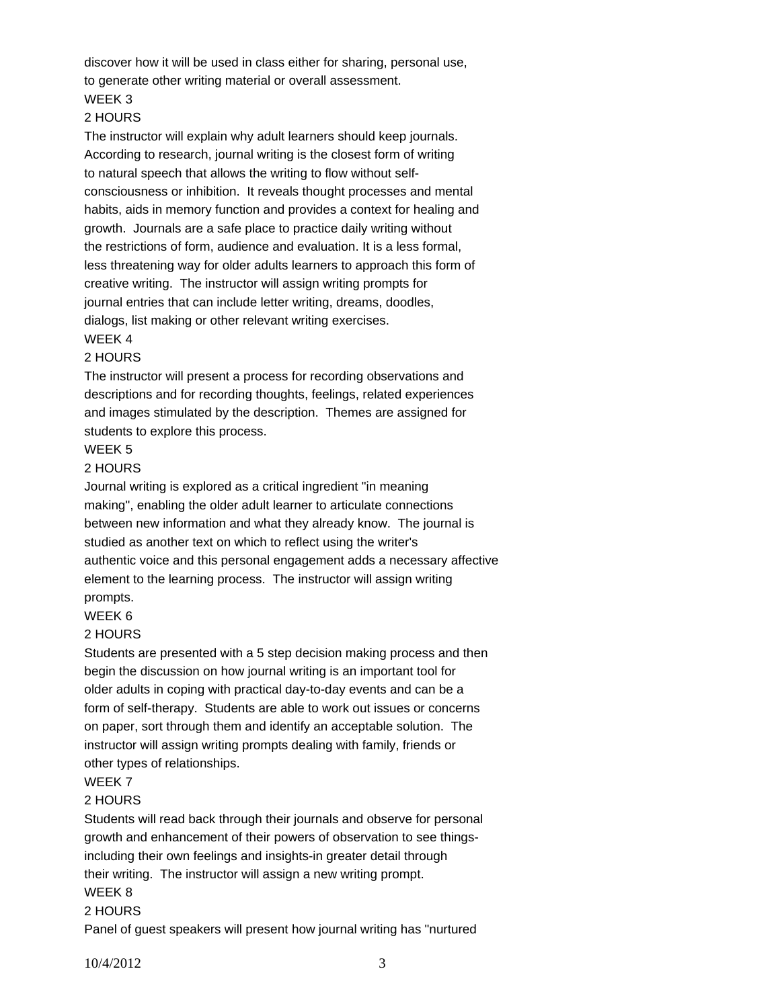discover how it will be used in class either for sharing, personal use, to generate other writing material or overall assessment. WEEK 3

# 2 HOURS

The instructor will explain why adult learners should keep journals. According to research, journal writing is the closest form of writing to natural speech that allows the writing to flow without selfconsciousness or inhibition. It reveals thought processes and mental habits, aids in memory function and provides a context for healing and growth. Journals are a safe place to practice daily writing without the restrictions of form, audience and evaluation. It is a less formal, less threatening way for older adults learners to approach this form of creative writing. The instructor will assign writing prompts for journal entries that can include letter writing, dreams, doodles, dialogs, list making or other relevant writing exercises.

### WEEK 4 2 HOURS

## The instructor will present a process for recording observations and descriptions and for recording thoughts, feelings, related experiences and images stimulated by the description. Themes are assigned for students to explore this process.

## WEEK 5

### 2 HOURS

Journal writing is explored as a critical ingredient "in meaning making", enabling the older adult learner to articulate connections between new information and what they already know. The journal is studied as another text on which to reflect using the writer's authentic voice and this personal engagement adds a necessary affective element to the learning process. The instructor will assign writing prompts.

## WEEK 6

## 2 HOURS

Students are presented with a 5 step decision making process and then begin the discussion on how journal writing is an important tool for older adults in coping with practical day-to-day events and can be a form of self-therapy. Students are able to work out issues or concerns on paper, sort through them and identify an acceptable solution. The instructor will assign writing prompts dealing with family, friends or other types of relationships.

### WEEK 7

### 2 HOURS

Students will read back through their journals and observe for personal growth and enhancement of their powers of observation to see thingsincluding their own feelings and insights-in greater detail through their writing. The instructor will assign a new writing prompt.

# WEEK 8

## 2 HOURS

Panel of guest speakers will present how journal writing has "nurtured

10/4/2012 3